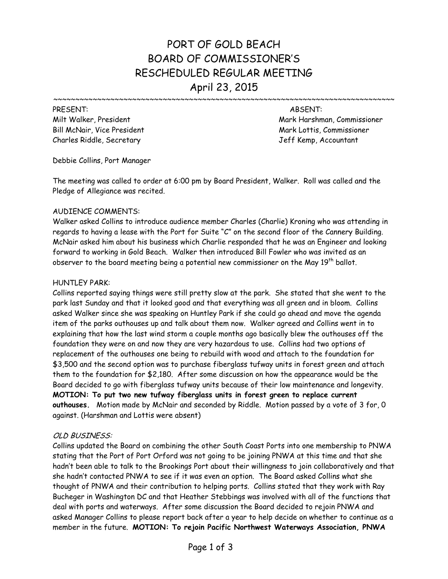# PORT OF GOLD BEACH BOARD OF COMMISSIONER'S RESCHEDULED REGULAR MEETING April 23, 2015

Bill McNair, Vice President Mark Lottis, Commissioner Mark Lottis, Commissioner Charles Riddle, Secretary Jeff Kemp, Accountant

PRESENT: ABSENT: Milt Walker, President Mark Harshman, Commissioner

~~~~~~~~~~~~~~~~~~~~~

Debbie Collins, Port Manager

The meeting was called to order at 6:00 pm by Board President, Walker. Roll was called and the Pledge of Allegiance was recited.

# AUDIENCE COMMENTS:

Walker asked Collins to introduce audience member Charles (Charlie) Kroning who was attending in regards to having a lease with the Port for Suite "C" on the second floor of the Cannery Building. McNair asked him about his business which Charlie responded that he was an Engineer and looking forward to working in Gold Beach. Walker then introduced Bill Fowler who was invited as an observer to the board meeting being a potential new commissioner on the May 19<sup>th</sup> ballot.

# HUNTLEY PARK:

Collins reported saying things were still pretty slow at the park. She stated that she went to the park last Sunday and that it looked good and that everything was all green and in bloom. Collins asked Walker since she was speaking on Huntley Park if she could go ahead and move the agenda item of the parks outhouses up and talk about them now. Walker agreed and Collins went in to explaining that how the last wind storm a couple months ago basically blew the outhouses off the foundation they were on and now they are very hazardous to use. Collins had two options of replacement of the outhouses one being to rebuild with wood and attach to the foundation for \$3,500 and the second option was to purchase fiberglass tufway units in forest green and attach them to the foundation for \$2,180. After some discussion on how the appearance would be the Board decided to go with fiberglass tufway units because of their low maintenance and longevity. **MOTION: To put two new tufway fiberglass units in forest green to replace current outhouses.** Motion made by McNair and seconded by Riddle. Motion passed by a vote of 3 for, 0 against. (Harshman and Lottis were absent)

# OLD BUSINESS:

Collins updated the Board on combining the other South Coast Ports into one membership to PNWA stating that the Port of Port Orford was not going to be joining PNWA at this time and that she hadn't been able to talk to the Brookings Port about their willingness to join collaboratively and that she hadn't contacted PNWA to see if it was even an option. The Board asked Collins what she thought of PNWA and their contribution to helping ports. Collins stated that they work with Ray Bucheger in Washington DC and that Heather Stebbings was involved with all of the functions that deal with ports and waterways. After some discussion the Board decided to rejoin PNWA and asked Manager Collins to please report back after a year to help decide on whether to continue as a member in the future. **MOTION: To rejoin Pacific Northwest Waterways Association, PNWA**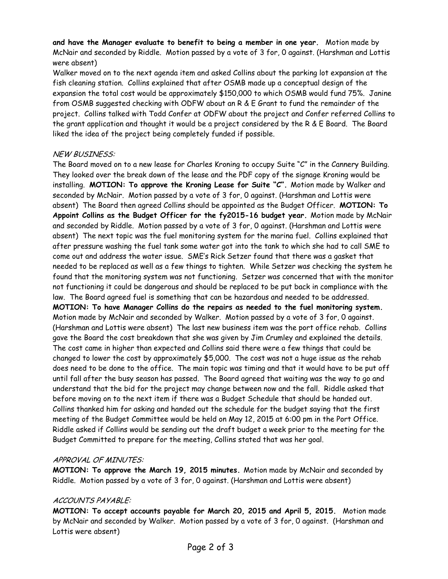**and have the Manager evaluate to benefit to being a member in one year.** Motion made by McNair and seconded by Riddle. Motion passed by a vote of 3 for, 0 against. (Harshman and Lottis were absent)

Walker moved on to the next agenda item and asked Collins about the parking lot expansion at the fish cleaning station. Collins explained that after OSMB made up a conceptual design of the expansion the total cost would be approximately \$150,000 to which OSMB would fund 75%. Janine from OSMB suggested checking with ODFW about an R & E Grant to fund the remainder of the project. Collins talked with Todd Confer at ODFW about the project and Confer referred Collins to the grant application and thought it would be a project considered by the R & E Board. The Board liked the idea of the project being completely funded if possible.

# NEW BUSINESS:

The Board moved on to a new lease for Charles Kroning to occupy Suite "C" in the Cannery Building. They looked over the break down of the lease and the PDF copy of the signage Kroning would be installing. **MOTION: To approve the Kroning Lease for Suite "C".** Motion made by Walker and seconded by McNair. Motion passed by a vote of 3 for, 0 against. (Harshman and Lottis were absent) The Board then agreed Collins should be appointed as the Budget Officer. **MOTION: To Appoint Collins as the Budget Officer for the fy2015-16 budget year.** Motion made by McNair and seconded by Riddle. Motion passed by a vote of 3 for, 0 against. (Harshman and Lottis were absent) The next topic was the fuel monitoring system for the marina fuel. Collins explained that after pressure washing the fuel tank some water got into the tank to which she had to call SME to come out and address the water issue. SME's Rick Setzer found that there was a gasket that needed to be replaced as well as a few things to tighten. While Setzer was checking the system he found that the monitoring system was not functioning. Setzer was concerned that with the monitor not functioning it could be dangerous and should be replaced to be put back in compliance with the law. The Board agreed fuel is something that can be hazardous and needed to be addressed. **MOTION: To have Manager Collins do the repairs as needed to the fuel monitoring system.**  Motion made by McNair and seconded by Walker. Motion passed by a vote of 3 for, 0 against. (Harshman and Lottis were absent) The last new business item was the port office rehab. Collins gave the Board the cost breakdown that she was given by Jim Crumley and explained the details. The cost came in higher than expected and Collins said there were a few things that could be changed to lower the cost by approximately \$5,000. The cost was not a huge issue as the rehab does need to be done to the office. The main topic was timing and that it would have to be put off until fall after the busy season has passed. The Board agreed that waiting was the way to go and understand that the bid for the project may change between now and the fall. Riddle asked that before moving on to the next item if there was a Budget Schedule that should be handed out. Collins thanked him for asking and handed out the schedule for the budget saying that the first meeting of the Budget Committee would be held on May 12, 2015 at 6:00 pm in the Port Office. Riddle asked if Collins would be sending out the draft budget a week prior to the meeting for the Budget Committed to prepare for the meeting, Collins stated that was her goal.

# APPROVAL OF MINUTES:

**MOTION: To approve the March 19, 2015 minutes.** Motion made by McNair and seconded by Riddle. Motion passed by a vote of 3 for, 0 against. (Harshman and Lottis were absent)

# ACCOUNTS PAYABLE:

**MOTION: To accept accounts payable for March 20, 2015 and April 5, 2015.** Motion made by McNair and seconded by Walker. Motion passed by a vote of 3 for, 0 against. (Harshman and Lottis were absent)